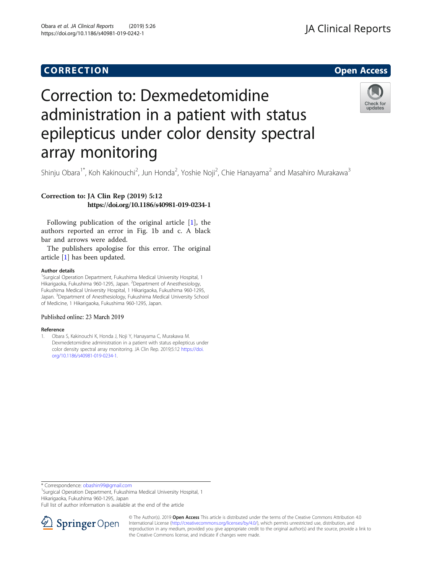## CORR EC TION Open [Access](http://crossmark.crossref.org/dialog/?doi=10.1186/s40981-019-0242-1&domain=pdf)

### **JA Clinical Reports**

# Correction to: Dexmedetomidine administration in a patient with status epilepticus under color density spectral array monitoring



Shinju Obara<sup>1\*</sup>, Koh Kakinouchi<sup>2</sup>, Jun Honda<sup>2</sup>, Yoshie Noji<sup>2</sup>, Chie Hanayama<sup>2</sup> and Masahiro Murakawa<sup>3</sup>

### Correction to: JA Clin Rep (2019) 5:12 https://doi.org/10.1186/s40981-019-0234-1

Following publication of the original article [1], the authors reported an error in Fig. 1b and c. A black bar and arrows were added.

The publishers apologise for this error. The original article [1] has been updated.

#### Author details

<sup>1</sup>Surgical Operation Department, Fukushima Medical University Hospital, 1 Hikarigaoka, Fukushima 960-1295, Japan. <sup>2</sup>Department of Anesthesiology, Fukushima Medical University Hospital, 1 Hikarigaoka, Fukushima 960-1295, Japan. <sup>3</sup>Department of Anesthesiology, Fukushima Medical University School of Medicine, 1 Hikarigaoka, Fukushima 960-1295, Japan.

#### Published online: 23 March 2019

#### Reference

1. Obara S, Kakinouchi K, Honda J, Noji Y, Hanayama C, Murakawa M. Dexmedetomidine administration in a patient with status epilepticus under color density spectral array monitoring. JA Clin Rep. 2019;5:12 [https://doi.](https://doi.org/10.1186/s40981-019-0234-1) [org/10.1186/s40981-019-0234-1](https://doi.org/10.1186/s40981-019-0234-1).

\* Correspondence: [obashin99@gmail.com](mailto:obashin99@gmail.com) <sup>1</sup>

<sup>1</sup>Surgical Operation Department, Fukushima Medical University Hospital, 1 Hikarigaoka, Fukushima 960-1295, Japan

Full list of author information is available at the end of the article



© The Author(s). 2019 Open Access This article is distributed under the terms of the Creative Commons Attribution 4.0 International License ([http://creativecommons.org/licenses/by/4.0/\)](http://creativecommons.org/licenses/by/4.0/), which permits unrestricted use, distribution, and reproduction in any medium, provided you give appropriate credit to the original author(s) and the source, provide a link to the Creative Commons license, and indicate if changes were made.